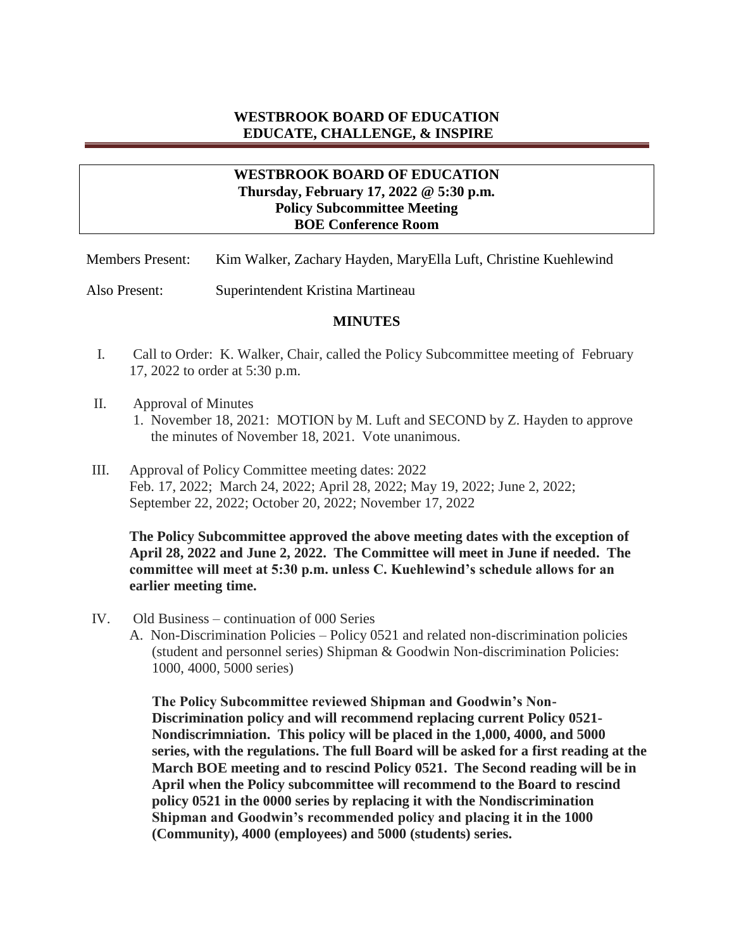## **WESTBROOK BOARD OF EDUCATION EDUCATE, CHALLENGE, & INSPIRE**

## **WESTBROOK BOARD OF EDUCATION Thursday, February 17, 2022 @ 5:30 p.m. Policy Subcommittee Meeting BOE Conference Room**

Members Present: Kim Walker, Zachary Hayden, MaryElla Luft, Christine Kuehlewind

Also Present: Superintendent Kristina Martineau

## **MINUTES**

- I. Call to Order: K. Walker, Chair, called the Policy Subcommittee meeting of February 17, 2022 to order at 5:30 p.m.
- II. Approval of Minutes
	- 1. November 18, 2021: MOTION by M. Luft and SECOND by Z. Hayden to approve the minutes of November 18, 2021. Vote unanimous.
- III. Approval of Policy Committee meeting dates: 2022 Feb. 17, 2022; March 24, 2022; April 28, 2022; May 19, 2022; June 2, 2022; September 22, 2022; October 20, 2022; November 17, 2022

**The Policy Subcommittee approved the above meeting dates with the exception of April 28, 2022 and June 2, 2022. The Committee will meet in June if needed. The committee will meet at 5:30 p.m. unless C. Kuehlewind's schedule allows for an earlier meeting time.** 

- IV. Old Business continuation of 000 Series
	- A. Non-Discrimination Policies Policy 0521 and related non-discrimination policies (student and personnel series) Shipman & Goodwin Non-discrimination Policies: 1000, 4000, 5000 series)

**The Policy Subcommittee reviewed Shipman and Goodwin's Non-Discrimination policy and will recommend replacing current Policy 0521- Nondiscrimniation. This policy will be placed in the 1,000, 4000, and 5000 series, with the regulations. The full Board will be asked for a first reading at the March BOE meeting and to rescind Policy 0521. The Second reading will be in April when the Policy subcommittee will recommend to the Board to rescind policy 0521 in the 0000 series by replacing it with the Nondiscrimination Shipman and Goodwin's recommended policy and placing it in the 1000 (Community), 4000 (employees) and 5000 (students) series.**